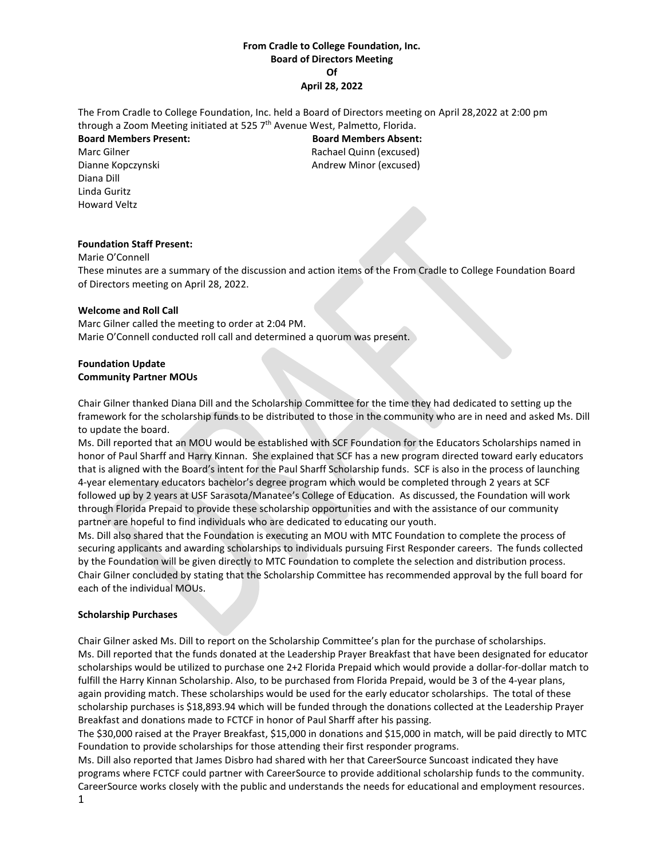## **From Cradle to College Foundation, Inc. Board of Directors Meeting Of April 28, 2022**

The From Cradle to College Foundation, Inc. held a Board of Directors meeting on April 28,2022 at 2:00 pm through a Zoom Meeting initiated at 525 7<sup>th</sup> Avenue West, Palmetto, Florida.

Diana Dill Linda Guritz Howard Veltz

**Board Members Present: Board Members Absent:** Marc Gilner **Rachael Quinn (excused)** Dianne Kopczynski **Andrew Minor (excused)** 

# **Foundation Staff Present:**

Marie O'Connell These minutes are a summary of the discussion and action items of the From Cradle to College Foundation Board of Directors meeting on April 28, 2022.

## **Welcome and Roll Call**

Marc Gilner called the meeting to order at 2:04 PM. Marie O'Connell conducted roll call and determined a quorum was present.

## **Foundation Update Community Partner MOUs**

Chair Gilner thanked Diana Dill and the Scholarship Committee for the time they had dedicated to setting up the framework for the scholarship funds to be distributed to those in the community who are in need and asked Ms. Dill to update the board.

Ms. Dill reported that an MOU would be established with SCF Foundation for the Educators Scholarships named in honor of Paul Sharff and Harry Kinnan. She explained that SCF has a new program directed toward early educators that is aligned with the Board's intent for the Paul Sharff Scholarship funds. SCF is also in the process of launching 4-year elementary educators bachelor's degree program which would be completed through 2 years at SCF followed up by 2 years at USF Sarasota/Manatee's College of Education. As discussed, the Foundation will work through Florida Prepaid to provide these scholarship opportunities and with the assistance of our community partner are hopeful to find individuals who are dedicated to educating our youth.

Ms. Dill also shared that the Foundation is executing an MOU with MTC Foundation to complete the process of securing applicants and awarding scholarships to individuals pursuing First Responder careers. The funds collected by the Foundation will be given directly to MTC Foundation to complete the selection and distribution process. Chair Gilner concluded by stating that the Scholarship Committee has recommended approval by the full board for each of the individual MOUs.

## **Scholarship Purchases**

Chair Gilner asked Ms. Dill to report on the Scholarship Committee's plan for the purchase of scholarships. Ms. Dill reported that the funds donated at the Leadership Prayer Breakfast that have been designated for educator scholarships would be utilized to purchase one 2+2 Florida Prepaid which would provide a dollar-for-dollar match to fulfill the Harry Kinnan Scholarship. Also, to be purchased from Florida Prepaid, would be 3 of the 4-year plans, again providing match. These scholarships would be used for the early educator scholarships. The total of these scholarship purchases is \$18,893.94 which will be funded through the donations collected at the Leadership Prayer Breakfast and donations made to FCTCF in honor of Paul Sharff after his passing.

The \$30,000 raised at the Prayer Breakfast, \$15,000 in donations and \$15,000 in match, will be paid directly to MTC Foundation to provide scholarships for those attending their first responder programs.

1 Ms. Dill also reported that James Disbro had shared with her that CareerSource Suncoast indicated they have programs where FCTCF could partner with CareerSource to provide additional scholarship funds to the community. CareerSource works closely with the public and understands the needs for educational and employment resources.